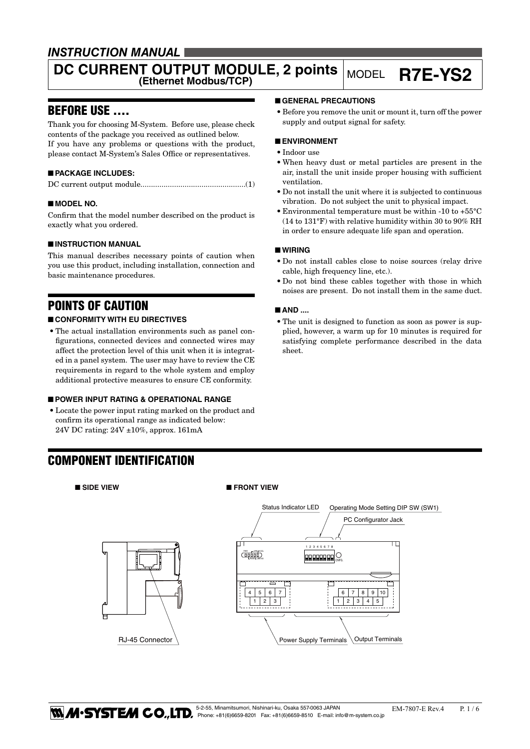### *INSTRUCTION MANUAL*

# **DC CURRENT OUTPUT MODULE, 2 points** MODEL **R7E-YS2**

### BEFORE USE ....

Thank you for choosing M-System. Before use, please check contents of the package you received as outlined below. If you have any problems or questions with the product, please contact M-System's Sales Office or representatives.

### ■ **PACKAGE INCLUDES:**

|--|--|

#### ■ **MODEL NO.**

Confirm that the model number described on the product is exactly what you ordered.

#### ■ **INSTRUCTION MANUAL**

This manual describes necessary points of caution when you use this product, including installation, connection and basic maintenance procedures.

### POINTS OF CAUTION

#### ■ **CONFORMITY WITH EU DIRECTIVES**

• The actual installation environments such as panel configurations, connected devices and connected wires may affect the protection level of this unit when it is integrated in a panel system. The user may have to review the CE requirements in regard to the whole system and employ additional protective measures to ensure CE conformity.

#### ■ **POWER INPUT RATING & OPERATIONAL RANGE**

• Locate the power input rating marked on the product and confirm its operational range as indicated below: 24V DC rating: 24V ±10%, approx. 161mA

### COMPONENT IDENTIFICATION



#### ■ SIDE VIEW ■ FRONT VIEW



• Before you remove the unit or mount it, turn off the power supply and output signal for safety.

#### ■ **ENVIRONMENT**

- • Indoor use
- When heavy dust or metal particles are present in the air, install the unit inside proper housing with sufficient ventilation.
- Do not install the unit where it is subjected to continuous vibration. Do not subject the unit to physical impact.
- Environmental temperature must be within -10 to  $+55^{\circ}$ C (14 to 131°F) with relative humidity within 30 to 90% RH in order to ensure adequate life span and operation.

#### ■ **WIRING**

- • Do not install cables close to noise sources (relay drive cable, high frequency line, etc.).
- • Do not bind these cables together with those in which noises are present. Do not install them in the same duct.

#### ■ **AND** ....

• The unit is designed to function as soon as power is supplied, however, a warm up for 10 minutes is required for satisfying complete performance described in the data sheet.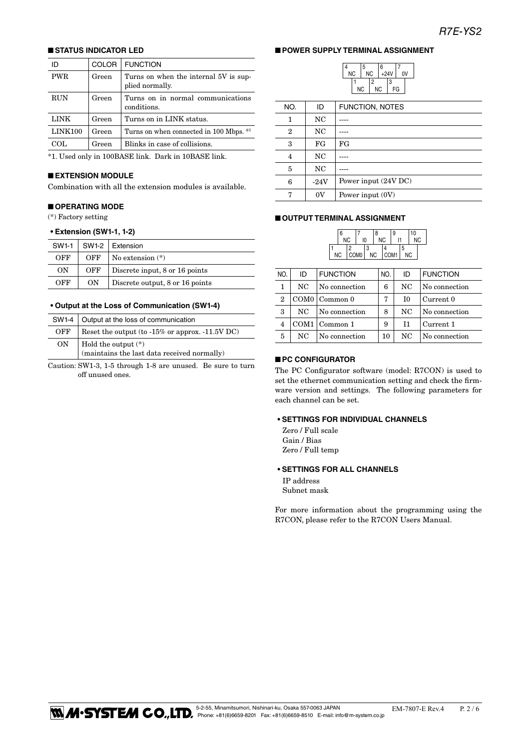#### ■ **STATUS INDICATOR LED**

| ID         | COLOR | <b>FUNCTION</b>                                          |
|------------|-------|----------------------------------------------------------|
| <b>PWR</b> | Green | Turns on when the internal 5V is sup-<br>plied normally. |
| <b>RUN</b> | Green | Turns on in normal communications<br>conditions.         |
| LINK       | Green | Turns on in LINK status.                                 |
| LINK100    | Green | Turns on when connected in 100 Mbps. *1                  |
| COL.       | Green | Blinks in case of collisions.                            |
|            |       |                                                          |

\*1. Used only in 100BASE link. Dark in 10BASE link.

#### ■ **EXTENSION MODULE**

Combination with all the extension modules is available.

#### ■ **OPERATING MODE**

(\*) Factory setting

#### **• Extension (SW1-1, 1-2)**

| SW1-1 |     | $SW1-2$   Extension             |  |
|-------|-----|---------------------------------|--|
| OFF   | OFF | No extension $(*)$              |  |
| OΝ    | OFF | Discrete input, 8 or 16 points  |  |
| OFF   | OΝ  | Discrete output, 8 or 16 points |  |

#### **• Output at the Loss of Communication (SW1-4)**

|     | SW1-4   Output at the loss of communication                          |
|-----|----------------------------------------------------------------------|
| OFF | Reset the output (to $-15\%$ or approx. $-11.5V$ DC)                 |
| ON  | Hold the output $(*)$<br>(maintains the last data received normally) |

Caution: SW1-3, 1-5 through 1-8 are unused. Be sure to turn off unused ones.

#### ■ **POWER SUPPLY TERMINAL ASSIGNMENT**

4

|    | 5 |           | 6      |    |    |  |
|----|---|-----------|--------|----|----|--|
| ΝC |   | <b>NC</b> | $+24V$ |    | o۷ |  |
|    |   | 2         |        | 3  |    |  |
| ΝC |   |           | NC.    | FG |    |  |

| NO.            | ID      | FUNCTION, NOTES      |
|----------------|---------|----------------------|
| 1              | NC      |                      |
| $\overline{2}$ | NC      |                      |
| 3              | FG      | FG                   |
| 4              | NC      |                      |
| 5              | NC      |                      |
| 6              | $-24V$  | Power input (24V DC) |
| г,             | $_{0V}$ | Power input (0V)     |

#### ■ **OUTPUT TERMINAL ASSIGNMENT**

| 6         |                  |    | 8         |      | 9  |   | 10        |           |
|-----------|------------------|----|-----------|------|----|---|-----------|-----------|
| <b>NC</b> |                  | 10 | <b>NC</b> |      | l1 |   |           | <b>NC</b> |
|           | 2                | 3  |           | Δ    |    | 5 |           |           |
| <b>NC</b> | COM <sub>0</sub> |    | <b>NC</b> | COM1 |    |   | <b>NC</b> |           |

| NO.            | ID  | <b>FUNCTION</b> | NO. | ID | <b>FUNCTION</b> |
|----------------|-----|-----------------|-----|----|-----------------|
| 1              | NC  | No connection   | 6   | NC | No connection   |
| $\overline{2}$ |     | COM0   Common 0 | 7   | I0 | Current 0       |
| 3              | NC. | No connection   | 8   | NC | No connection   |
| 4              |     | COM1   Common 1 | 9   | T1 | Current 1       |
| 5              | NC. | No connection   | 10  | NC | No connection   |
|                |     |                 |     |    |                 |

#### ■ **PC CONFIGURATOR**

The PC Configurator software (model: R7CON) is used to set the ethernet communication setting and check the firmware version and settings. The following parameters for each channel can be set.

#### **• SETTINGS FOR INDIVIDUAL CHANNELS**

Zero / Full scale Gain / Bias Zero / Full temp

#### **• SETTINGS FOR ALL CHANNELS**

IP address Subnet mask

For more information about the programming using the R7CON, please refer to the R7CON Users Manual.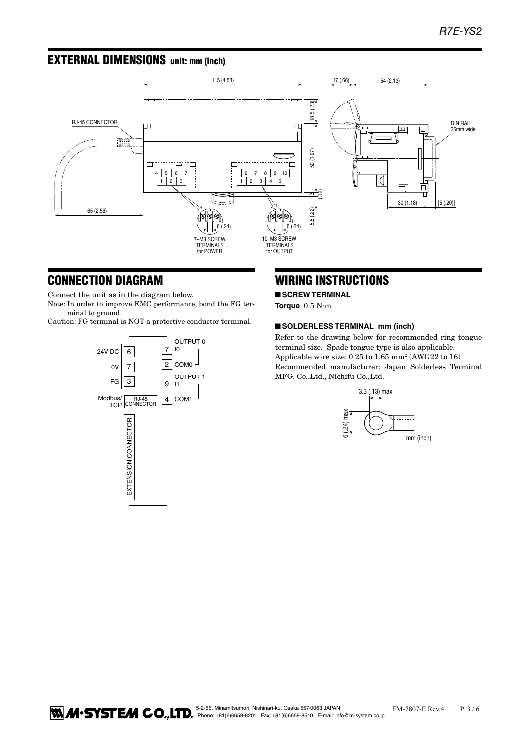### EXTERNAL DIMENSIONS unit: mm (inch)



### CONNECTION DIAGRAM

Connect the unit as in the diagram below.

Note: In order to improve EMC performance, bond the FG terminal to ground.

Caution: FG terminal is NOT a protective conductor terminal.



### WIRING INSTRUCTIONS

■ **SCREW TERMINAL** 

**Torque**: 0.5 N·m

#### ■ **SOLDERLESS TERMINAL** mm (inch)

Refer to the drawing below for recommended ring tongue terminal size. Spade tongue type is also applicable. Applicable wire size: 0.25 to 1.65 mm<sup>2</sup> (AWG22 to 16) Recommended manufacturer: Japan Solderless Terminal MFG. Co.,Ltd., Nichifu Co.,Ltd.

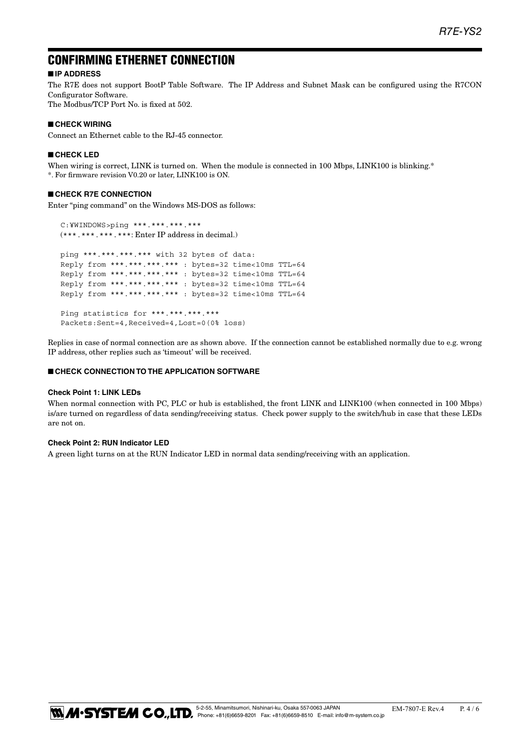### CONFIRMING ETHERNET CONNECTION

#### ■ **IP ADDRESS**

The R7E does not support BootP Table Software. The IP Address and Subnet Mask can be configured using the R7CON Configurator Software.

The Modbus/TCP Port No. is fixed at 502.

#### ■ **CHECK WIRING**

Connect an Ethernet cable to the RJ-45 connector.

#### ■ **CHECK LED**

When wiring is correct, LINK is turned on. When the module is connected in 100 Mbps, LINK100 is blinking.\* \*. For firmware revision V0.20 or later, LINK100 is ON.

#### ■ **CHECK R7E CONNECTION**

Enter "ping command" on the Windows MS-DOS as follows:

 C:¥WINDOWS>ping \*\*\*.\*\*\*.\*\*\*.\*\*\* (\*\*\*.\*\*\*.\*\*\*.\*\*\*: Enter IP address in decimal.) ping \*\*\*.\*\*\*.\*\*\*.\*\*\* with 32 bytes of data: Reply from \*\*\*.\*\*\*.\*\*\*.\*\*\* : bytes=32 time<10ms TTL=64 Reply from \*\*\*.\*\*\*.\*\*\*.\*\*\* : bytes=32 time<10ms TTL=64 Reply from \*\*\*.\*\*\*.\*\*\*.\*\*\* : bytes=32 time<10ms TTL=64 Reply from \*\*\*.\*\*\*.\*\*\*.\*\*\* : bytes=32 time<10ms TTL=64 Ping statistics for \*\*\*.\*\*\*.\*\*\*.\*\*\*

Packets:Sent=4,Received=4,Lost=0(0% loss)

Replies in case of normal connection are as shown above. If the connection cannot be established normally due to e.g. wrong IP address, other replies such as 'timeout' will be received.

#### ■ **CHECK CONNECTION TO THE APPLICATION SOFTWARE**

#### **Check Point 1: LINK LEDs**

When normal connection with PC, PLC or hub is established, the front LINK and LINK100 (when connected in 100 Mbps) is/are turned on regardless of data sending/receiving status. Check power supply to the switch/hub in case that these LEDs are not on.

#### **Check Point 2: RUN Indicator LED**

A green light turns on at the RUN Indicator LED in normal data sending/receiving with an application.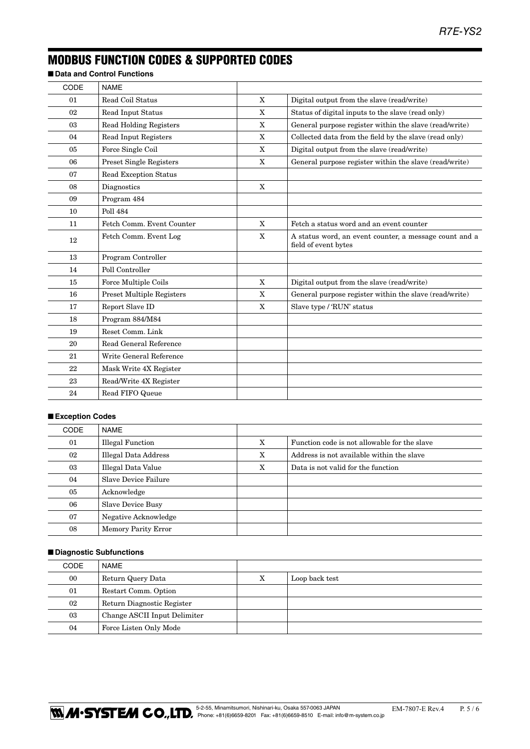## MODBUS FUNCTION CODES & SUPPORTED CODES

■ **Data and Control Functions** 

| CODE | <b>NAME</b>                      |             |                                                                                |
|------|----------------------------------|-------------|--------------------------------------------------------------------------------|
| 01   | Read Coil Status                 | $\mathbf X$ | Digital output from the slave (read/write)                                     |
| 02   | Read Input Status                | X           | Status of digital inputs to the slave (read only)                              |
| 03   | <b>Read Holding Registers</b>    | X           | General purpose register within the slave (read/write)                         |
| 04   | Read Input Registers             | X           | Collected data from the field by the slave (read only)                         |
| 05   | Force Single Coil                | X           | Digital output from the slave (read/write)                                     |
| 06   | Preset Single Registers          | X           | General purpose register within the slave (read/write)                         |
| 07   | <b>Read Exception Status</b>     |             |                                                                                |
| 08   | Diagnostics                      | X           |                                                                                |
| 09   | Program 484                      |             |                                                                                |
| 10   | <b>Poll 484</b>                  |             |                                                                                |
| 11   | Fetch Comm. Event Counter        | X           | Fetch a status word and an event counter                                       |
| 12   | Fetch Comm. Event Log            | X           | A status word, an event counter, a message count and a<br>field of event bytes |
| 13   | Program Controller               |             |                                                                                |
| 14   | Poll Controller                  |             |                                                                                |
| 15   | Force Multiple Coils             | $\mathbf X$ | Digital output from the slave (read/write)                                     |
| 16   | <b>Preset Multiple Registers</b> | X           | General purpose register within the slave (read/write)                         |
| 17   | Report Slave ID                  | X           | Slave type / 'RUN' status                                                      |
| 18   | Program 884/M84                  |             |                                                                                |
| 19   | Reset Comm. Link                 |             |                                                                                |
| 20   | Read General Reference           |             |                                                                                |
| 21   | Write General Reference          |             |                                                                                |
| 22   | Mask Write 4X Register           |             |                                                                                |
| 23   | Read/Write 4X Register           |             |                                                                                |
| 24   | Read FIFO Queue                  |             |                                                                                |
|      |                                  |             |                                                                                |

#### ■ **Exception Codes**

| <b>CODE</b> | NAME                       |   |                                              |
|-------------|----------------------------|---|----------------------------------------------|
| 01          | <b>Illegal Function</b>    | X | Function code is not allowable for the slave |
| 02          | Illegal Data Address       | X | Address is not available within the slave    |
| 03          | Illegal Data Value         | X | Data is not valid for the function           |
| 04          | Slave Device Failure       |   |                                              |
| 05          | Acknowledge                |   |                                              |
| 06          | <b>Slave Device Busy</b>   |   |                                              |
| 07          | Negative Acknowledge       |   |                                              |
| 08          | <b>Memory Parity Error</b> |   |                                              |

#### ■ **Diagnostic Subfunctions**

| CODE | NAME                         |   |                |
|------|------------------------------|---|----------------|
| 00   | Return Query Data            | х | Loop back test |
| 01   | Restart Comm. Option         |   |                |
| 02   | Return Diagnostic Register   |   |                |
| 03   | Change ASCII Input Delimiter |   |                |
| 04   | Force Listen Only Mode       |   |                |